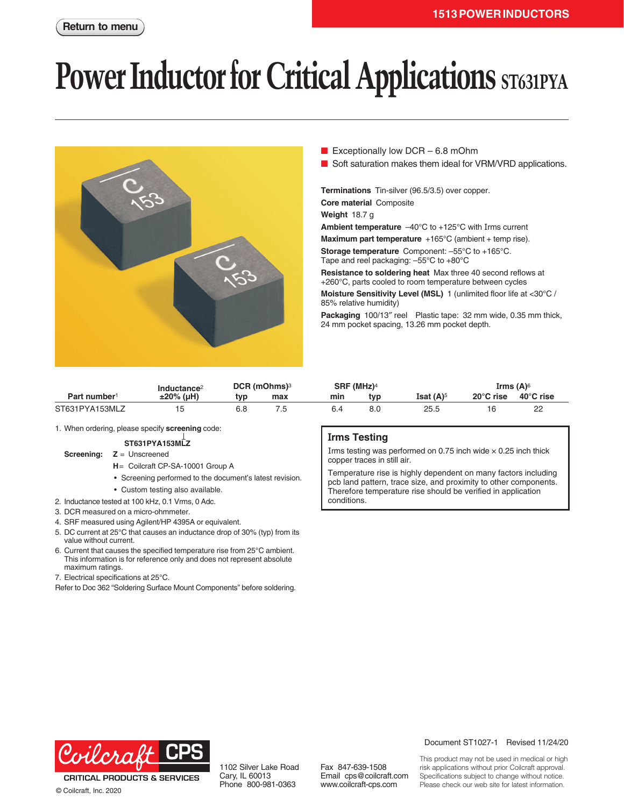# **Power Inductor for Critical Applications** ST631PYA



- Exceptionally low DCR  $-6.8$  mOhm
- Soft saturation makes them ideal for VRM/VRD applications.

**Terminations** Tin-silver (96.5/3.5) over copper.

**Core material** Composite

**Weight** 18.7 g

**Ambient temperature** –40°C to +125°C with Irms current

**Maximum part temperature** +165°C (ambient + temp rise).

**Storage temperature** Component: –55°C to +165°C. Tape and reel packaging: –55°C to +80°C

**Resistance to soldering heat** Max three 40 second reflows at +260°C, parts cooled to room temperature between cycles

**Moisture Sensitivity Level (MSL)** 1 (unlimited floor life at <30°C / 85% relative humidity)

**Packaging** 100/13″ reel Plastic tape: 32 mm wide, 0.35 mm thick, 24 mm pocket spacing, 13.26 mm pocket depth.

| Part number <sup>1</sup> | Inductance <sup>2</sup><br>$±20\%$ (µH) | DCR (mOhms) <sup>3</sup> |     | SRF (MHz) <sup>4</sup> |     |                         | Irms $(A)$ <sup>6</sup> |           |
|--------------------------|-----------------------------------------|--------------------------|-----|------------------------|-----|-------------------------|-------------------------|-----------|
|                          |                                         | tvp                      | max | min                    | typ | Isat $(A)$ <sup>5</sup> | $20^{\circ}$ C rise     | 40°C rise |
| ST631PYA153MLZ           |                                         | 6.8                      |     |                        |     | 25.5                    | 16                      | n<br>22   |

1. When ordering, please specify **screening** code:

#### **ST631PYA153MLZ**

#### **Screening: Z** = Unscreened

- **H**= Coilcraft CP-SA-10001 Group A
- Screening performed to the document's latest revision.
- Custom testing also available.
- 2. Inductance tested at 100 kHz, 0.1 Vrms, 0 Adc.
- 3. DCR measured on a micro-ohmmeter.
- 4. SRF measured using Agilent/HP 4395A or equivalent.
- 5. DC current at 25°C that causes an inductance drop of 30% (typ) from its value without current.
- 6. Current that causes the specified temperature rise from 25°C ambient. This information is for reference only and does not represent absolute maximum ratings.
- 7. Electrical specifications at 25°C.

Refer to Doc 362 "Soldering Surface Mount Components" before soldering.

#### **Irms Testing**

Irms testing was performed on 0.75 inch wide  $\times$  0.25 inch thick copper traces in still air.

Temperature rise is highly dependent on many factors including pcb land pattern, trace size, and proximity to other components. Therefore temperature rise should be verified in application conditions.



**CRITICAL PRODUCTS & SERVICES** © Coilcraft, Inc. 2020

1102 Silver Lake Road Cary, IL 60013 Phone 800-981-0363

Fax 847-639-1508 Email cps@coilcraft.com www.coilcraft-cps.com

Document ST1027-1 Revised 11/24/20

This product may not be used in medical or high risk applications without prior Coilcraft approval. Specifications subject to change without notice. Please check our web site for latest information.